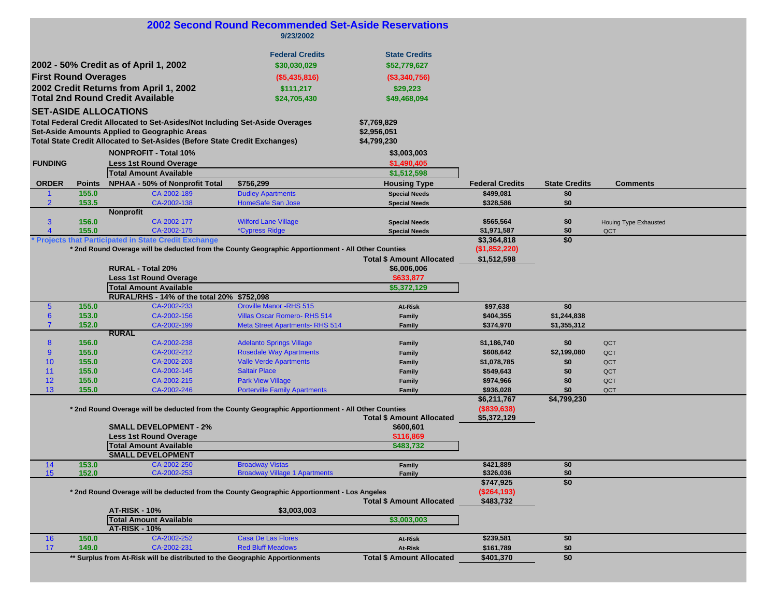|                             |                |                                                                                                    | <b>2002 Second Round Recommended Set-Aside Reservations</b><br>9/23/2002 |                                  |                        |                      |                       |  |
|-----------------------------|----------------|----------------------------------------------------------------------------------------------------|--------------------------------------------------------------------------|----------------------------------|------------------------|----------------------|-----------------------|--|
|                             |                |                                                                                                    |                                                                          |                                  |                        |                      |                       |  |
|                             |                |                                                                                                    | <b>Federal Credits</b>                                                   | <b>State Credits</b>             |                        |                      |                       |  |
|                             |                |                                                                                                    |                                                                          |                                  |                        |                      |                       |  |
|                             |                | 2002 - 50% Credit as of April 1, 2002                                                              | \$30,030,029                                                             | \$52,779,627                     |                        |                      |                       |  |
| <b>First Round Overages</b> |                |                                                                                                    | (\$5,435,816)                                                            | (\$3,340,756)                    |                        |                      |                       |  |
|                             |                | 2002 Credit Returns from April 1, 2002                                                             | \$111,217                                                                | \$29,223                         |                        |                      |                       |  |
|                             |                | <b>Total 2nd Round Credit Available</b>                                                            | \$24,705,430                                                             | \$49,468,094                     |                        |                      |                       |  |
|                             |                |                                                                                                    |                                                                          |                                  |                        |                      |                       |  |
|                             |                | <b>SET-ASIDE ALLOCATIONS</b>                                                                       |                                                                          |                                  |                        |                      |                       |  |
|                             |                | Total Federal Credit Allocated to Set-Asides/Not Including Set-Aside Overages                      |                                                                          | \$7,769,829                      |                        |                      |                       |  |
|                             |                | Set-Aside Amounts Applied to Geographic Areas                                                      |                                                                          | \$2,956,051                      |                        |                      |                       |  |
|                             |                | <b>Total State Credit Allocated to Set-Asides (Before State Credit Exchanges)</b>                  |                                                                          | \$4,799,230                      |                        |                      |                       |  |
|                             |                | <b>NONPROFIT - Total 10%</b>                                                                       |                                                                          | \$3,003,003                      |                        |                      |                       |  |
| <b>FUNDING</b>              |                |                                                                                                    |                                                                          |                                  |                        |                      |                       |  |
|                             |                | <b>Less 1st Round Overage</b>                                                                      |                                                                          | \$1,490,405                      |                        |                      |                       |  |
|                             |                | <b>Total Amount Available</b>                                                                      |                                                                          | \$1,512,598                      |                        |                      |                       |  |
| <b>ORDER</b>                | <b>Points</b>  | NPHAA - 50% of Nonprofit Total                                                                     | \$756,299                                                                | <b>Housing Type</b>              | <b>Federal Credits</b> | <b>State Credits</b> | <b>Comments</b>       |  |
|                             | 155.0          | CA-2002-189                                                                                        | <b>Dudley Apartments</b>                                                 | <b>Special Needs</b>             | \$499,081              | \$0                  |                       |  |
| $\overline{2}$              | 153.5          | CA-2002-138                                                                                        | HomeSafe San Jose                                                        | <b>Special Needs</b>             | \$328,586              | \$0                  |                       |  |
|                             |                | <b>Nonprofit</b>                                                                                   |                                                                          |                                  |                        |                      |                       |  |
| 3                           | 156.0          | CA-2002-177                                                                                        | <b>Wilford Lane Village</b>                                              | <b>Special Needs</b>             | \$565,564              | \$0                  | Houing Type Exhausted |  |
| $\overline{4}$              | 155.0          | CA-2002-175                                                                                        | <i><b>*Cypress Ridge</b></i>                                             | <b>Special Needs</b>             | \$1,971,587            | \$0                  | QCT                   |  |
|                             |                | <b>Projects that Participated in State Credit Exchange</b>                                         |                                                                          |                                  | \$3,364,818            | \$0                  |                       |  |
|                             |                | * 2nd Round Overage will be deducted from the County Geographic Apportionment - All Other Counties |                                                                          |                                  | $($ \$1,852,220)       |                      |                       |  |
|                             |                |                                                                                                    |                                                                          | <b>Total \$ Amount Allocated</b> | \$1,512,598            |                      |                       |  |
|                             |                | <b>RURAL - Total 20%</b>                                                                           |                                                                          | \$6,006,006                      |                        |                      |                       |  |
|                             |                | <b>Less 1st Round Overage</b>                                                                      |                                                                          | \$633,877                        |                        |                      |                       |  |
|                             |                | <b>Total Amount Available</b>                                                                      |                                                                          | \$5,372,129                      |                        |                      |                       |  |
|                             |                | RURAL/RHS - 14% of the total 20% \$752,098                                                         |                                                                          |                                  |                        |                      |                       |  |
| $\overline{5}$              | 155.0          | CA-2002-233                                                                                        | <b>Oroville Manor -RHS 515</b>                                           | At-Risk                          | \$97,638               | \$0                  |                       |  |
| $6\phantom{a}$              | 153.0          | CA-2002-156                                                                                        | <b>Villas Oscar Romero- RHS 514</b>                                      | Family                           | \$404,355              | \$1,244,838          |                       |  |
| $\overline{7}$              | 152.0          | CA-2002-199                                                                                        | <b>Meta Street Apartments-RHS 514</b>                                    | Family                           | \$374,970              | \$1,355,312          |                       |  |
|                             |                | <b>RURAL</b>                                                                                       |                                                                          |                                  |                        |                      |                       |  |
| 8                           | 156.0          | CA-2002-238                                                                                        | <b>Adelanto Springs Village</b>                                          | Family                           | \$1,186,740            | \$0                  | QCT                   |  |
| 9                           | 155.0          | CA-2002-212                                                                                        | <b>Rosedale Way Apartments</b>                                           | Family                           | \$608,642              | \$2,199,080          | QCT                   |  |
| 10                          | 155.0          | CA-2002-203                                                                                        | <b>Valle Verde Apartments</b>                                            |                                  | \$1,078,785            | \$0                  |                       |  |
| 11                          |                |                                                                                                    | <b>Saltair Place</b>                                                     | Family                           |                        |                      | QCT                   |  |
| 12                          | 155.0<br>155.0 | CA-2002-145<br>CA-2002-215                                                                         | <b>Park View Village</b>                                                 | Family                           | \$549,643              | \$0                  | QCT                   |  |
|                             |                |                                                                                                    |                                                                          | Family                           | \$974,966              | \$0                  | QCT                   |  |
| 13                          | 155.0          | CA-2002-246                                                                                        | <b>Porterville Family Apartments</b>                                     | Family                           | \$936,028              | \$0                  | QCT                   |  |
|                             |                |                                                                                                    |                                                                          |                                  | \$6,211,767            | \$4,799,230          |                       |  |
|                             |                | * 2nd Round Overage will be deducted from the County Geographic Apportionment - All Other Counties |                                                                          |                                  | ( \$839, 638)          |                      |                       |  |
|                             |                |                                                                                                    |                                                                          | <b>Total \$ Amount Allocated</b> | \$5,372,129            |                      |                       |  |
|                             |                | <b>SMALL DEVELOPMENT - 2%</b>                                                                      |                                                                          | \$600,601                        |                        |                      |                       |  |
|                             |                | <b>Less 1st Round Overage</b>                                                                      |                                                                          | \$116,869                        |                        |                      |                       |  |
|                             |                | <b>Total Amount Available</b>                                                                      |                                                                          | \$483,732                        |                        |                      |                       |  |
|                             |                | <b>SMALL DEVELOPMENT</b>                                                                           |                                                                          |                                  |                        |                      |                       |  |
| 14                          | 153.0          | CA-2002-250                                                                                        | <b>Broadway Vistas</b>                                                   | Family                           | \$421,889              | \$0                  |                       |  |
| 15 <sub>1</sub>             | 152.0          | CA-2002-253                                                                                        | <b>Broadway Village 1 Apartments</b>                                     | Family                           | \$326,036              | \$0                  |                       |  |
|                             |                |                                                                                                    |                                                                          |                                  | \$747,925              | \$0                  |                       |  |
|                             |                | * 2nd Round Overage will be deducted from the County Geographic Apportionment - Los Angeles        |                                                                          |                                  | (S264, 193)            |                      |                       |  |
|                             |                |                                                                                                    |                                                                          | <b>Total \$ Amount Allocated</b> | \$483,732              |                      |                       |  |
|                             |                | <b>AT-RISK - 10%</b>                                                                               | \$3,003,003                                                              |                                  |                        |                      |                       |  |
|                             |                | <b>Total Amount Available</b>                                                                      |                                                                          | \$3,003,003                      |                        |                      |                       |  |
|                             |                | <b>AT-RISK - 10%</b>                                                                               |                                                                          |                                  |                        |                      |                       |  |
| 16                          | 150.0          | CA-2002-252                                                                                        | <b>Casa De Las Flores</b>                                                | At-Risk                          | \$239,581              | \$0                  |                       |  |
| 17                          | 149.0          | CA-2002-231                                                                                        | <b>Red Bluff Meadows</b>                                                 | At-Risk                          | \$161,789              | \$0                  |                       |  |
|                             |                | ** Surplus from At-Risk will be distributed to the Geographic Apportionments                       |                                                                          | <b>Total \$ Amount Allocated</b> | \$401,370              | \$0                  |                       |  |
|                             |                |                                                                                                    |                                                                          |                                  |                        |                      |                       |  |